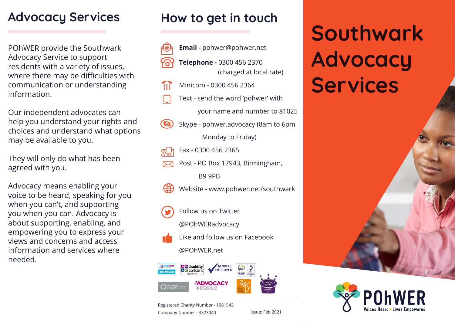## **Advocacy Services**

POhWER provide the Southwark Advocacy Service to support residents with a variety of issues, where there may be difficulties with communication or understanding information.

Our independent advocates can help you understand your rights and choices and understand what options may be available to you.

They will only do what has been agreed with you.

Advocacy means enabling your voice to be heard, speaking for you when you can't, and supporting you when you can. Advocacy is about supporting, enabling, and empowering you to express your views and concerns and access information and services where needed.

## **How to get in touch**



- ta:
	- Text send the word 'pohwer' with

your name and number to 81025

- Skype pohwer.advocacy (8am to 6pm **G)** Monday to Friday)
- Fax 0300 456 2365
- Post PO Box 17943, Birmingham, B9 9PB
- Website www.pohwer.net/southwark
- Follow us on Twitter

@POhWERadvocacy

Like and follow us on Facebook

#### @POhWER.net



Registered Charity Number - 1061543 Company Number - 3323040 Issue: Feb 2021

# **Southwark Advocacy**  Minicom - 0300 456 2364 **Services**